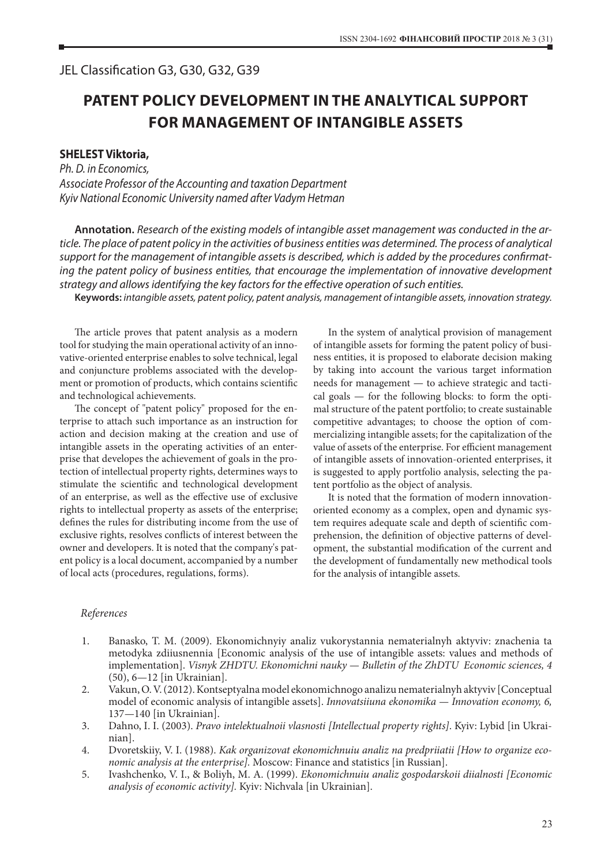## JEL Classification G3, G30, G32, G39

## **PATENT POLICY DEVELOPMENT IN THE ANALYTICAL SUPPORT FOR MANAGEMENT OF INTANGIBLE ASSETS**

## **SHELEST Viktoria,**

*Ph. D. in Economics, Associate Professor of the Accounting and taxation Department Kyiv National Economic University named after Vadym Hetman*

**Annotation.** *Research of the existing models of intangible asset management was conducted in the article. The place of patent policy in the activities of business entities was determined. The process of analytical support for the management of intangible assets is described, which is added by the procedures confirmating the patent policy of business entities, that encourage the implementation of innovative development strategy and allows identifying the key factors for the effective operation of such entities.*

**Keywords:** *intangible assets, patent policy, patent analysis, management of intangible assets, innovation strategy.*

The article proves that patent analysis as a modern tool for studying the main operational activity of an innovative-oriented enterprise enables to solve technical, legal and conjuncture problems associated with the development or promotion of products, which contains scientific and technological achievements.

The concept of "patent policy" proposed for the enterprise to attach such importance as an instruction for action and decision making at the creation and use of intangible assets in the operating activities of an enterprise that developes the achievement of goals in the protection of intellectual property rights, determines ways to stimulate the scientific and technological development of an enterprise, as well as the effective use of exclusive rights to intellectual property as assets of the enterprise; defines the rules for distributing income from the use of exclusive rights, resolves conflicts of interest between the owner and developers. It is noted that the company's patent policy is a local document, accompanied by a number of local acts (procedures, regulations, forms).

In the system of analytical provision of management of intangible assets for forming the patent policy of business entities, it is proposed to elaborate decision making by taking into account the various target information needs for management — to achieve strategic and tactical goals — for the following blocks: to form the optimal structure of the patent portfolio; to create sustainable competitive advantages; to choose the option of commercializing intangible assets; for the capitalization of the value of assets of the enterprise. For efficient management of intangible assets of innovation-oriented enterprises, it is suggested to apply portfolio analysis, selecting the patent portfolio as the object of analysis.

It is noted that the formation of modern innovationoriented economy as a complex, open and dynamic system requires adequate scale and depth of scientific comprehension, the definition of objective patterns of development, the substantial modification of the current and the development of fundamentally new methodical tools for the analysis of intangible assets.

## *References*

- 1. Banasko, T. M. (2009). Ekonomichnyiy analiz vukorystannia nematerialnyh aktyviv: znachenia ta metodyka zdiiusnennia [Economic analysis of the use of intangible assets: values and methods of implementation]. *Visnyk ZHDTU. Ekonomichni nauky — Bulletin of the ZhDTU Economic sciences, 4* (50), 6—12 [in Ukrainian].
- 2. Vakun, O. V. (2012).Kontseptyalna model ekonomichnogo analizu nematerialnyh aktyviv [Conceptual model of economic analysis of intangible assets]. *Innovatsiiuna ekonomika — Innovation economy, 6,* 137*—*140 [in Ukrainian].
- 3. Dahno, I. I. (2003). *Pravo intelektualnoii vlasnosti [Intellectual property rights]*. Kyiv: Lybid [in Ukrainian].
- 4. Dvoretskiiy, V. I. (1988). *Kak organizovat ekonomichnuiu analiz na predpriiatii [How to organize economic analysis at the enterprise].* Moscow: Finance and statistics [in Russian].
- 5. Ivashchenko, V. I., & Boliyh, M. A. (1999). *Ekonomichnuiu analiz gospodarskoii diialnosti [Economic analysis of economic activity].* Kyiv: Nichvala [in Ukrainian].